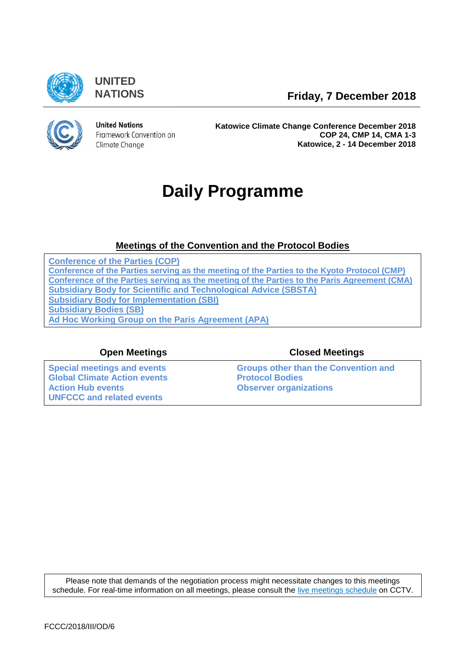

**UNITED**

**NATIONS Friday, 7 December 2018**



**United Nations** Framework Convention on Climate Change

**Katowice Climate Change Conference December 2018 COP 24, CMP 14, CMA 1-3 Katowice, 2 - 14 December 2018**

# **Daily Programme**

# **[Meetings of the Convention and the Protocol Bodies](https://grandreserva.unfccc.int/grandreserva/public/schedule?time=2018-12-07&conference_id=73&meeting_type=&body=3,4,5,6,7,9,10&webcast=0)**

**[Conference of the Parties \(COP\)](https://grandreserva.unfccc.int/grandreserva/public/schedule?time=2018-12-07&conference_id=73&meeting_type=&body=4&webcast=0) [Conference of the Parties serving as the meeting of the Parties to the Kyoto Protocol \(CMP\)](https://grandreserva.unfccc.int/grandreserva/public/schedule?time=2018-12-07&conference_id=73&meeting_type=&body=3&webcast=0) [Conference of the Parties serving as the meeting of the Parties to the Paris Agreement \(CMA\)](https://grandreserva.unfccc.int/grandreserva/public/schedule?time=2018-12-07&conference_id=73&meeting_type=&body=10&webcast=0) [Subsidiary Body for Scientific and Technological Advice \(SBSTA\)](https://grandreserva.unfccc.int/grandreserva/public/schedule?time=2018-12-07&conference_id=73&meeting_type=&body=6&webcast=0) [Subsidiary Body for Implementation \(SBI\)](https://grandreserva.unfccc.int/grandreserva/public/schedule?time=2018-12-07&conference_id=73&meeting_type=&body=5&webcast=0) [Subsidiary Bodies \(SB\)](https://grandreserva.unfccc.int/grandreserva/public/schedule?time=2018-12-07&conference_id=73&meeting_type=&body=7&webcast=0) [Ad Hoc Working Group on the Paris Agreement \(APA\)](https://grandreserva.unfccc.int/grandreserva/public/schedule?time=2018-12-07&conference_id=73&meeting_type=&body=9&webcast=0)**

**[Special meetings and events](#page-1-0) [Global Climate Action events](#page-1-1) [Action Hub events](#page-2-0) [Observer organizations](#page-3-1) [UNFCCC and related events](#page-3-2)**

### **Open Meetings Closed Meetings**

**[Groups other than the Convention and](#page-3-0)  [Protocol Bodies](#page-3-0)**

Please note that demands of the negotiation process might necessitate changes to this meetings schedule. For real-time information on all meetings, please consult the [live meetings schedule](https://grandreserva.unfccc.int/grandreserva/public/schedule) on CCTV.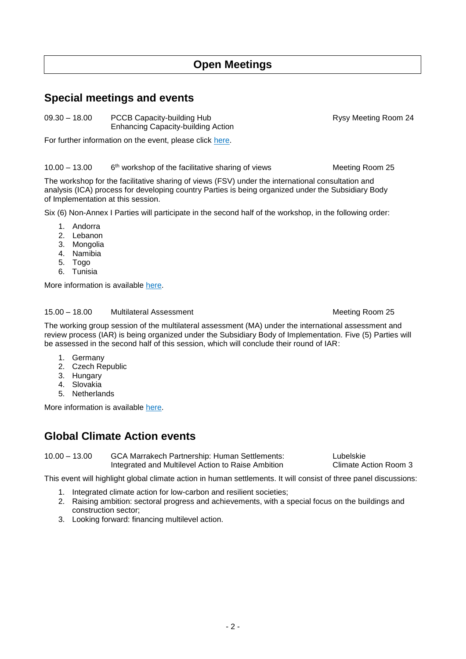# **Open Meetings**

# <span id="page-1-0"></span>**Special meetings and events**

Enhancing Capacity-building Action

For further information on the event, please click [here.](https://unfccc.int/node/183811)

 $10.00 - 13.00$ 6<sup>th</sup> workshop of the facilitative sharing of views Meeting Room 25

The workshop for the facilitative sharing of views (FSV) under the international consultation and analysis (ICA) process for developing country Parties is being organized under the Subsidiary Body of Implementation at this session.

Six (6) Non-Annex I Parties will participate in the second half of the workshop, in the following order:

- 1. Andorra
- 2. Lebanon
- 3. Mongolia
- 4. Namibia
- 5. Togo
- 6. Tunisia

More information is available [here.](https://unfccc.int/event/6th-workshop-of-the-facilitative-sharing-of-views)

#### 15.00 - 18.00 Multilateral Assessment Meeting Room 25

The working group session of the multilateral assessment (MA) under the international assessment and review process (IAR) is being organized under the Subsidiary Body of Implementation. Five (5) Parties will be assessed in the second half of this session, which will conclude their round of IAR:

- 1. Germany
- 2. Czech Republic
- 3. Hungary
- 4. Slovakia
- 5. Netherlands

More information is available [here.](https://unfccc.int/process-and-meetings/transparency-and-reporting/reporting-and-review-under-the-convention/national-communications-and-biennial-reports-annex-i-parties/multilateral-assessment/multilateral-assessment)

# <span id="page-1-1"></span>**Global Climate Action events**

10.00 – 13.00 GCA Marrakech Partnership: Human Settlements: Lubelskie Integrated and Multilevel Action to Raise Ambition Climate Action Room 3

This event will highlight global climate action in human settlements. It will consist of three panel discussions:

- 1. Integrated climate action for low-carbon and resilient societies;
- 2. Raising ambition: sectoral progress and achievements, with a special focus on the buildings and construction sector;
- 3. Looking forward: financing multilevel action.

09.30 – 18.00 PCCB Capacity-building Hub Rysy Meeting Room 24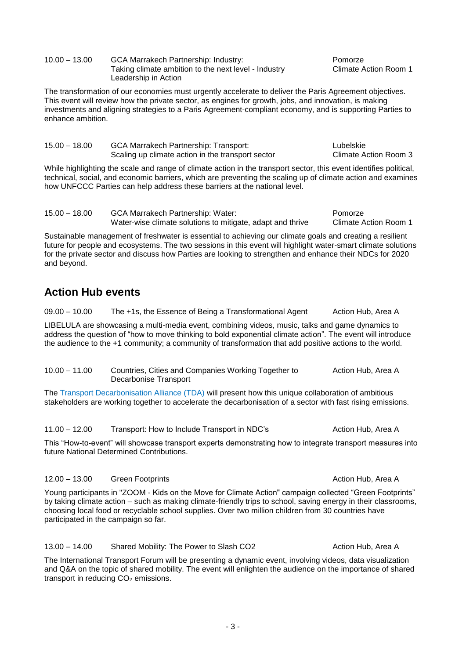| $10.00 - 13.00$ | GCA Marrakech Partnership: Industry:                 | Pomorze   |
|-----------------|------------------------------------------------------|-----------|
|                 | Taking climate ambition to the next level - Industry | Climate / |
|                 | Leadership in Action                                 |           |

The transformation of our economies must urgently accelerate to deliver the Paris Agreement objectives. This event will review how the private sector, as engines for growth, jobs, and innovation, is making investments and aligning strategies to a Paris Agreement-compliant economy, and is supporting Parties to enhance ambition.

| $15.00 - 18.00$ | <b>GCA Marrakech Partnership: Transport:</b>      | Lubelskie             |
|-----------------|---------------------------------------------------|-----------------------|
|                 | Scaling up climate action in the transport sector | Climate Action Room 3 |

While highlighting the scale and range of climate action in the transport sector, this event identifies political, technical, social, and economic barriers, which are preventing the scaling up of climate action and examines how UNFCCC Parties can help address these barriers at the national level.

| $15.00 - 18.00$ | <b>GCA Marrakech Partnership: Water:</b>                   | Pomorze               |
|-----------------|------------------------------------------------------------|-----------------------|
|                 | Water-wise climate solutions to mitigate, adapt and thrive | Climate Action Room 1 |

Sustainable management of freshwater is essential to achieving our climate goals and creating a resilient future for people and ecosystems. The two sessions in this event will highlight water-smart climate solutions for the private sector and discuss how Parties are looking to strengthen and enhance their NDCs for 2020 and beyond.

# <span id="page-2-0"></span>**Action Hub events**

09.00 - 10.00 The +1s, the Essence of Being a Transformational Agent Action Hub, Area A

LIBELULA are showcasing a multi-media event, combining videos, music, talks and game dynamics to address the question of "how to move thinking to bold exponential climate action". The event will introduce the audience to the +1 community; a community of transformation that add positive actions to the world.

10.00 - 11.00 Countries, Cities and Companies Working Together to Action Hub, Area A Decarbonise Transport

The [Transport Decarbonisation Alliance \(TDA\)](http://tda-mobility.org/) will present how this unique collaboration of ambitious stakeholders are working together to accelerate the decarbonisation of a sector with fast rising emissions.

11.00 – 12.00 Transport: How to Include Transport in NDC's Action Hub, Area A This "How-to-event" will showcase transport experts demonstrating how to integrate transport measures into

#### 12.00 – 13.00 Green Footprints **Action Hub, Area Action Hub, Area Action Hub**, Area A

future National Determined Contributions.

Young participants in "ZOOM - Kids on the Move for Climate Action" campaign collected "Green Footprints" by taking climate action – such as making climate-friendly trips to school, saving energy in their classrooms, choosing local food or recyclable school supplies. Over two million children from 30 countries have participated in the campaign so far.

#### 13.00 - 14.00 Shared Mobility: The Power to Slash CO2 Action Hub, Area A

The International Transport Forum will be presenting a dynamic event, involving videos, data visualization and Q&A on the topic of shared mobility. The event will enlighten the audience on the importance of shared transport in reducing CO<sub>2</sub> emissions.

Climate Action Room 1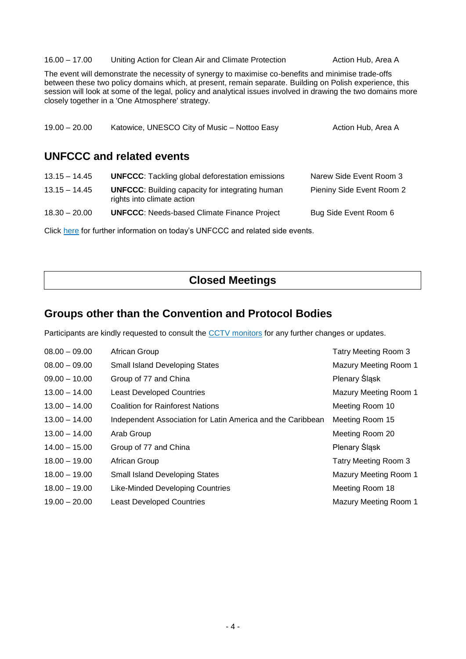#### 16.00 - 17.00 Uniting Action for Clean Air and Climate Protection **Action Hub, Area A**

The event will demonstrate the necessity of synergy to maximise co-benefits and minimise trade-offs between these two policy domains which, at present, remain separate. Building on Polish experience, this session will look at some of the legal, policy and analytical issues involved in drawing the two domains more closely together in a 'One Atmosphere' strategy.

<span id="page-3-2"></span>

| $19.00 - 20.00$ | Katowice, UNESCO City of Music - Nottoo Easy                                         | Action Hub, Area A        |
|-----------------|--------------------------------------------------------------------------------------|---------------------------|
|                 | UNFCCC and related events                                                            |                           |
| $13.15 - 14.45$ | <b>UNFCCC:</b> Tackling global deforestation emissions                               | Narew Side Event Room 3   |
| $13.15 - 14.45$ | <b>UNFCCC:</b> Building capacity for integrating human<br>rights into climate action | Pieniny Side Event Room 2 |
| $18.30 - 20.00$ | <b>UNFCCC:</b> Needs-based Climate Finance Project                                   | Bug Side Event Room 6     |

Click [here](https://seors.unfccc.int/seors/reports/events_list.html?session_id=COP%2024) for further information on today's UNFCCC and related side events.

# **Closed Meetings**

# <span id="page-3-0"></span>**Groups other than the Convention and Protocol Bodies**

Participants are kindly requested to consult the [CCTV monitors](https://grandreserva.unfccc.int/grandreserva/public/schedule) for any further changes or updates.

<span id="page-3-1"></span>

| $08.00 - 09.00$ | African Group                                               | Tatry Meeting Room 3  |
|-----------------|-------------------------------------------------------------|-----------------------|
| $08.00 - 09.00$ | <b>Small Island Developing States</b>                       | Mazury Meeting Room 1 |
| $09.00 - 10.00$ | Group of 77 and China                                       | Plenary Śląsk         |
| $13.00 - 14.00$ | <b>Least Developed Countries</b>                            | Mazury Meeting Room 1 |
| $13.00 - 14.00$ | <b>Coalition for Rainforest Nations</b>                     | Meeting Room 10       |
| $13.00 - 14.00$ | Independent Association for Latin America and the Caribbean | Meeting Room 15       |
| $13.00 - 14.00$ | Arab Group                                                  | Meeting Room 20       |
| $14.00 - 15.00$ | Group of 77 and China                                       | Plenary Śląsk         |
| $18.00 - 19.00$ | African Group                                               | Tatry Meeting Room 3  |
| $18.00 - 19.00$ | <b>Small Island Developing States</b>                       | Mazury Meeting Room 1 |
| $18.00 - 19.00$ | <b>Like-Minded Developing Countries</b>                     | Meeting Room 18       |
| $19.00 - 20.00$ | <b>Least Developed Countries</b>                            | Mazury Meeting Room 1 |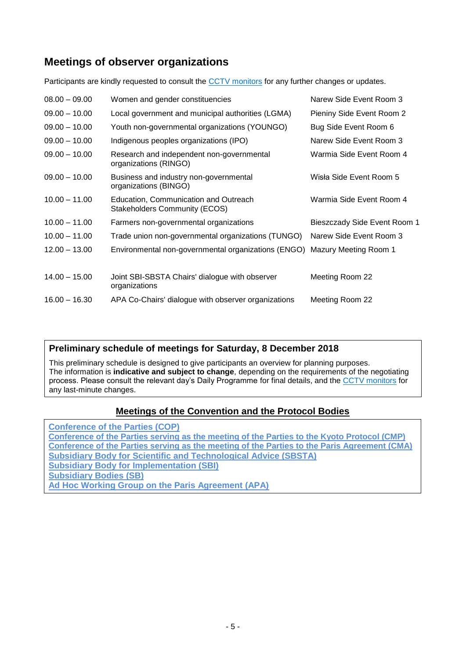# **Meetings of observer organizations**

Participants are kindly requested to consult the [CCTV monitors](https://grandreserva.unfccc.int/grandreserva/public/schedule) for any further changes or updates.

| $08.00 - 09.00$ | Women and gender constituencies                                               | Narew Side Event Room 3      |
|-----------------|-------------------------------------------------------------------------------|------------------------------|
| $09.00 - 10.00$ | Local government and municipal authorities (LGMA)                             | Pieniny Side Event Room 2    |
| $09.00 - 10.00$ | Youth non-governmental organizations (YOUNGO)                                 | Bug Side Event Room 6        |
| $09.00 - 10.00$ | Indigenous peoples organizations (IPO)                                        | Narew Side Event Room 3      |
| $09.00 - 10.00$ | Research and independent non-governmental<br>organizations (RINGO)            | Warmia Side Event Room 4     |
| $09.00 - 10.00$ | Business and industry non-governmental<br>organizations (BINGO)               | Wisła Side Event Room 5      |
| $10.00 - 11.00$ | Education, Communication and Outreach<br><b>Stakeholders Community (ECOS)</b> | Warmia Side Event Room 4     |
| $10.00 - 11.00$ | Farmers non-governmental organizations                                        | Bieszczady Side Event Room 1 |
| $10.00 - 11.00$ | Trade union non-governmental organizations (TUNGO)                            | Narew Side Event Room 3      |
| $12.00 - 13.00$ | Environmental non-governmental organizations (ENGO) Mazury Meeting Room 1     |                              |
| $14.00 - 15.00$ | Joint SBI-SBSTA Chairs' dialogue with observer<br>organizations               | Meeting Room 22              |
| $16.00 - 16.30$ | APA Co-Chairs' dialogue with observer organizations                           | Meeting Room 22              |

# **Preliminary schedule of meetings for Saturday, 8 December 2018**

This preliminary schedule is designed to give participants an overview for planning purposes. The information is **indicative and subject to change**, depending on the requirements of the negotiating process. Please consult the relevant day's Daily Programme for final details, and the [CCTV monitors](https://grandreserva.unfccc.int/grandreserva/public/schedule) for any last-minute changes.

### **Meetings [of the Convention and the Protocol Bodies](https://grandreserva.unfccc.int/grandreserva/public/schedule?time=2018-12-08&conference_id=73&meeting_type=&body=3,4,5,6,7,9,10&webcast=0)**

**[Conference of the Parties \(COP\)](https://grandreserva.unfccc.int/grandreserva/public/schedule?time=2018-12-08&conference_id=73&meeting_type=&body=4&webcast=0) [Conference of the Parties serving as the meeting of the Parties to the Kyoto Protocol \(CMP\)](https://grandreserva.unfccc.int/grandreserva/public/schedule?time=2018-12-08&conference_id=73&meeting_type=&body=3&webcast=0) [Conference of the Parties serving as the meeting of the Parties to the Paris Agreement \(CMA\)](https://grandreserva.unfccc.int/grandreserva/public/schedule?time=2018-12-08&conference_id=73&meeting_type=&body=10&webcast=0) [Subsidiary Body for Scientific and Technological Advice \(SBSTA\)](https://grandreserva.unfccc.int/grandreserva/public/schedule?time=2018-12-08&conference_id=73&meeting_type=&body=6&webcast=0) [Subsidiary Body for Implementation \(SBI\)](https://grandreserva.unfccc.int/grandreserva/public/schedule?time=2018-12-08&conference_id=73&meeting_type=&body=5&webcast=0) [Subsidiary Bodies \(SB\)](https://grandreserva.unfccc.int/grandreserva/public/schedule?time=2018-12-08&conference_id=73&meeting_type=&body=7&webcast=0) [Ad Hoc Working Group on the Paris Agreement \(APA\)](https://grandreserva.unfccc.int/grandreserva/public/schedule?time=2018-12-08&conference_id=73&meeting_type=&body=9&webcast=0)**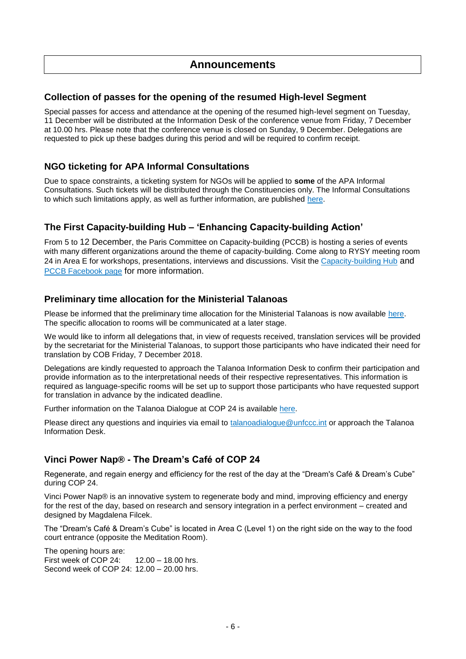## **Announcements**

#### **Collection of passes for the opening of the resumed High-level Segment**

Special passes for access and attendance at the opening of the resumed high-level segment on Tuesday, 11 December will be distributed at the Information Desk of the conference venue from Friday, 7 December at 10.00 hrs. Please note that the conference venue is closed on Sunday, 9 December. Delegations are requested to pick up these badges during this period and will be required to confirm receipt.

#### **NGO ticketing for APA Informal Consultations**

Due to space constraints, a ticketing system for NGOs will be applied to **some** of the APA Informal Consultations. Such tickets will be distributed through the Constituencies only. The Informal Consultations to which such limitations apply, as well as further information, are published [here.](https://unfccc.int/process-and-meetings/parties-non-party-stakeholders/non-party-stakeholders/participation-and-engagement-in-the-katowice-climate-change-conference-december-2018-cop-24)

#### **The First Capacity-building Hub – 'Enhancing Capacity-building Action'**

From 5 to 12 December, the Paris Committee on Capacity-building (PCCB) is hosting a series of events with many different organizations around the theme of capacity-building. Come along to RYSY meeting room 24 in Area E for workshops, presentations, interviews and discussions. Visit the [Capacity-building Hub](https://unfccc.int/news/capacity-building-to-receive-major-boost-at-cop24) and **[PCCB Facebook page](https://www.facebook.com/pccb.unfccc) for more information.** 

#### **Preliminary time allocation for the Ministerial Talanoas**

Please be informed that the preliminary time allocation for the Ministerial Talanoas is now available [here.](https://img1.wsimg.com/blobby/go/9fc76f74-a749-4eec-9a06-5907e013dbc9/downloads/1ctnufhq3_524512.pdf) The specific allocation to rooms will be communicated at a later stage.

We would like to inform all delegations that, in view of requests received, translation services will be provided by the secretariat for the Ministerial Talanoas, to support those participants who have indicated their need for translation by COB Friday, 7 December 2018.

Delegations are kindly requested to approach the Talanoa Information Desk to confirm their participation and provide information as to the interpretational needs of their respective representatives. This information is required as language-specific rooms will be set up to support those participants who have requested support for translation in advance by the indicated deadline.

Further information on the Talanoa Dialogue at COP 24 is available [here.](https://talanoadialogue.com/political-phase-2)

Please direct any questions and inquiries via email to [talanoadialogue@unfccc.int](mailto:talanoadialogue@unfccc.int) or approach the Talanoa Information Desk.

#### **Vinci Power Nap® - The Dream's Café of COP 24**

Regenerate, and regain energy and efficiency for the rest of the day at the "Dream's Café & Dream's Cube" during COP 24.

Vinci Power Nap® is an innovative system to regenerate body and mind, improving efficiency and energy for the rest of the day, based on research and sensory integration in a perfect environment – created and designed by Magdalena Filcek.

The "Dream's Café & Dream's Cube" is located in Area C (Level 1) on the right side on the way to the food court entrance (opposite the Meditation Room).

The opening hours are: First week of COP 24: 12.00 – 18.00 hrs. Second week of COP 24: 12.00 – 20.00 hrs.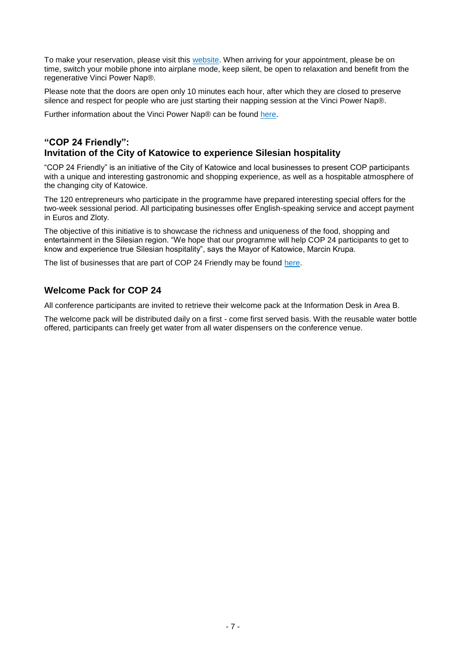To make your reservation, please visit this [website.](https://vincipowernap.asysto.pl/wizyta/krok1) When arriving for your appointment, please be on time, switch your mobile phone into airplane mode, keep silent, be open to relaxation and benefit from the regenerative Vinci Power Nap®.

Please note that the doors are open only 10 minutes each hour, after which they are closed to preserve silence and respect for people who are just starting their napping session at the Vinci Power Nap®.

Further information about the Vinci Power Nap® can be found [here.](http://www.vincipowernap.pl/)

#### **"COP 24 Friendly": Invitation of the City of Katowice to experience Silesian hospitality**

"COP 24 Friendly" is an initiative of the City of Katowice and local businesses to present COP participants with a unique and interesting gastronomic and shopping experience, as well as a hospitable atmosphere of the changing city of Katowice.

The 120 entrepreneurs who participate in the programme have prepared interesting special offers for the two-week sessional period. All participating businesses offer English-speaking service and accept payment in Euros and Zloty.

The objective of this initiative is to showcase the richness and uniqueness of the food, shopping and entertainment in the Silesian region. "We hope that our programme will help COP 24 participants to get to know and experience true Silesian hospitality", says the Mayor of Katowice, Marcin Krupa.

The list of businesses that are part of COP 24 Friendly may be found [here.](http://cop24.katowice.eu/en/cop-friendly.htm)

#### **Welcome Pack for COP 24**

All conference participants are invited to retrieve their welcome pack at the Information Desk in Area B.

The welcome pack will be distributed daily on a first - come first served basis. With the reusable water bottle offered, participants can freely get water from all water dispensers on the conference venue.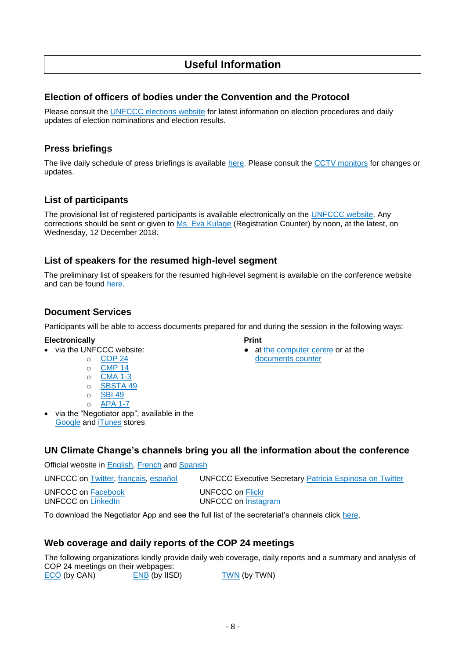# **Useful Information**

#### **Election of officers of bodies under the Convention and the Protocol**

Please consult the [UNFCCC elections website](https://unfccc.int/process-and-meetings/bodies/the-big-picture/election-and-membership) for latest information on election procedures and daily updates of election nominations and election results.

#### **Press briefings**

The live daily schedule of press briefings is available [here.](https://grandreserva.unfccc.int/grandreserva/public/schedule) Please consult the [CCTV monitors](https://grandreserva.unfccc.int/grandreserva/public/schedule) for changes or updates.

#### **List of participants**

The provisional list of registered participants is available electronically on the [UNFCCC website.](https://unfccc.int/sites/default/files/resource/PLOP.pdf) Any corrections should be sent or given to [Ms. Eva Kulage](mailto:EKulage@unfccc.int) (Registration Counter) by noon, at the latest, on Wednesday, 12 December 2018.

#### **List of speakers for the resumed high-level segment**

The preliminary list of speakers for the resumed high-level segment is available on the conference website and can be found [here.](https://unfccc.int/process-and-meetings/conferences/katowice-climate-change-conference-december-2018/events-and-schedules/high-level-segment-cop-24)

#### **Document Services**

Participants will be able to access documents prepared for and during the session in the following ways:

at [the computer centre](https://unfccc.int/process-and-meetings/conferences/katowice-climate-change-conference-december-2018/venue-and-participation/information-for-participants-a-z/information-for-participants-a-z#eq-6) or at the

- **Electronically** Print<br>
via the UNFCCC website: • at
	- o [COP 24](https://unfccc.int/event/cop-24) [documents counter](https://unfccc.int/process-and-meetings/conferences/katowice-climate-change-conference-december-2018/venue-and-participation/information-for-participants-a-z#eq-19)
	- $\circ$  [CMP 14](https://unfccc.int/event/cmp-14)
	- o [CMA 1-3](https://unfccc.int/event/cma-1-3)
	- o [SBSTA 49](https://unfccc.int/event/sbsta-49)
	- o [SBI 49](https://unfccc.int/event/sbi-49)
	- o [APA 1-](https://unfccc.int/event/apa-1-7)7
- via the "Negotiator app", available in the [Google](https://play.google.com/store/apps/details?id=unfccc.negotiator) and [iTunes](https://itunes.apple.com/app/negotiator/id568085923?ls=1&mt=8) stores

#### **UN Climate Change's channels bring you all the information about the conference**

Official website in [English,](http://unfccc.int/) [French](https://unfccc.int/fr) and [Spanish](https://unfccc.int/es)

UNFCCC on [Twitter,](https://twitter.com/UNFCCC) [français,](https://twitter.com/CCNUCC) [español](https://twitter.com/CMNUCC) UNFCCC Executive Secretary [Patricia Espinosa on Twitter](https://twitter.com/PEspinosaC)

UNFCCC on [Facebook](https://www.facebook.com/UNclimatechange/) UNFCCC on [Flickr](https://www.flickr.com/photos/unfccc/)

UNFCCC on [LinkedIn](https://www.linkedin.com/company/unfccc?trk=vsrp_companies_res_name&trkInfo=VSRPsearchId%3A1167859571477476909354%2CVSRPtargetId%3A35503%2CVSRPcmpt%3Aprimary) UNFCCC on [Instagram](https://www.instagram.com/unfccc/)

To download the Negotiator App and see the full list of the secretariat's channels click [here.](https://unfccc.int/process-and-meetings/conferences/katowice-climate-change-conference-december-2018/virtual-participation-cop-24)

#### **Web coverage and daily reports of the COP 24 meetings**

The following organizations kindly provide daily web coverage, daily reports and a summary and analysis of COP 24 meetings on their webpages: [ECO](http://www.climatenetwork.org/eco-newsletters) (by CAN) [ENB](http://enb.iisd.org/climate/cop24/enb/) (by IISD) [TWN](http://www.twn.my/title2/climate/climate_updates-briefings.htm) (by TWN)

- 8 -